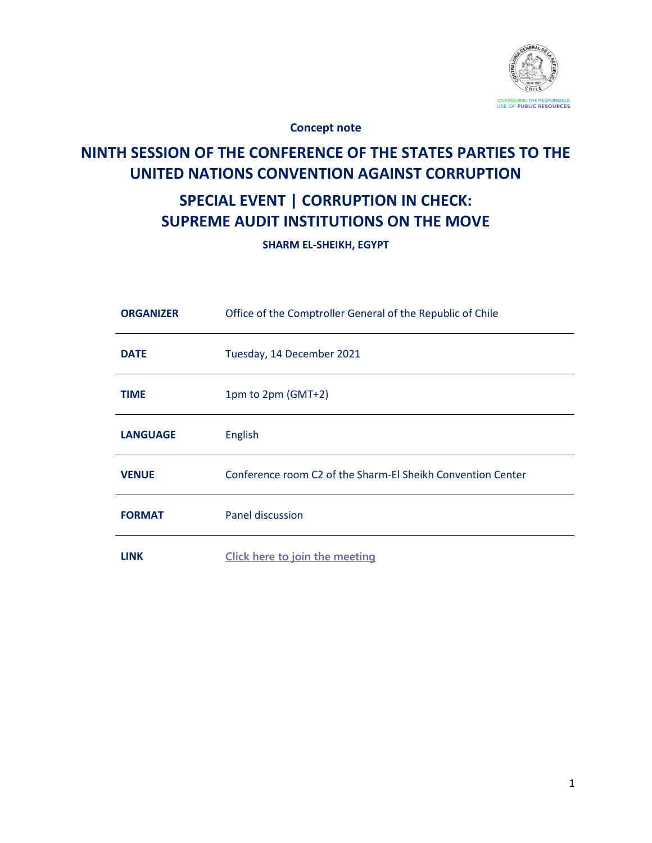

**Concept note**

# **NINTH SESSION OF THE CONFERENCE OF THE STATES PARTIES TO THE UNITED NATIONS CONVENTION AGAINST CORRUPTION**

## **SPECIAL EVENT | CORRUPTION IN CHECK: SUPREME AUDIT INSTITUTIONS ON THE MOVE**

**SHARM EL-SHEIKH, EGYPT**

| <b>ORGANIZER</b> | Office of the Comptroller General of the Republic of Chile  |
|------------------|-------------------------------------------------------------|
| <b>DATE</b>      | Tuesday, 14 December 2021                                   |
| <b>TIME</b>      | 1pm to 2pm (GMT+2)                                          |
| <b>LANGUAGE</b>  | English                                                     |
| <b>VENUE</b>     | Conference room C2 of the Sharm-El Sheikh Convention Center |
| <b>FORMAT</b>    | Panel discussion                                            |
| <b>LINK</b>      | Click here to join the meeting                              |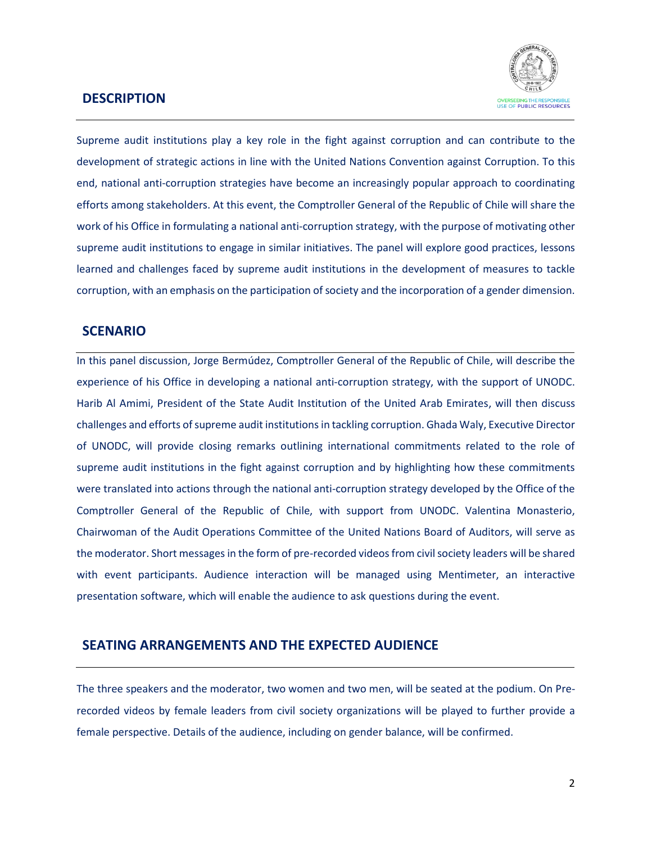### **DESCRIPTION**



Supreme audit institutions play a key role in the fight against corruption and can contribute to the development of strategic actions in line with the United Nations Convention against Corruption. To this end, national anti-corruption strategies have become an increasingly popular approach to coordinating efforts among stakeholders. At this event, the Comptroller General of the Republic of Chile will share the work of his Office in formulating a national anti-corruption strategy, with the purpose of motivating other supreme audit institutions to engage in similar initiatives. The panel will explore good practices, lessons learned and challenges faced by supreme audit institutions in the development of measures to tackle corruption, with an emphasis on the participation of society and the incorporation of a gender dimension.

### **SCENARIO**

In this panel discussion, Jorge Bermúdez, Comptroller General of the Republic of Chile, will describe the experience of his Office in developing a national anti-corruption strategy, with the support of UNODC. Harib Al Amimi, President of the State Audit Institution of the United Arab Emirates, will then discuss challenges and efforts of supreme audit institutions in tackling corruption. Ghada Waly, Executive Director of UNODC, will provide closing remarks outlining international commitments related to the role of supreme audit institutions in the fight against corruption and by highlighting how these commitments were translated into actions through the national anti-corruption strategy developed by the Office of the Comptroller General of the Republic of Chile, with support from UNODC. Valentina Monasterio, Chairwoman of the Audit Operations Committee of the United Nations Board of Auditors, will serve as the moderator. Short messages in the form of pre-recorded videos from civil society leaders will be shared with event participants. Audience interaction will be managed using Mentimeter, an interactive presentation software, which will enable the audience to ask questions during the event.

## **SEATING ARRANGEMENTS AND THE EXPECTED AUDIENCE**

The three speakers and the moderator, two women and two men, will be seated at the podium. On Prerecorded videos by female leaders from civil society organizations will be played to further provide a female perspective. Details of the audience, including on gender balance, will be confirmed.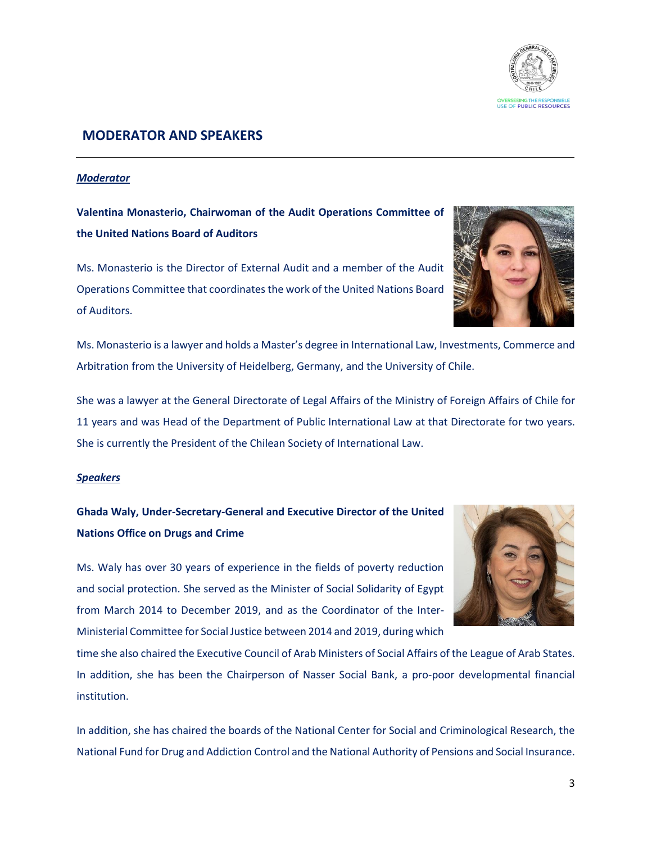

## **MODERATOR AND SPEAKERS**

#### *Moderator*

**Valentina Monasterio, Chairwoman of the Audit Operations Committee of the United Nations Board of Auditors**

Ms. Monasterio is the Director of External Audit and a member of the Audit Operations Committee that coordinates the work of the United Nations Board of Auditors.



Ms. Monasterio is a lawyer and holds a Master's degree in International Law, Investments, Commerce and Arbitration from the University of Heidelberg, Germany, and the University of Chile.

She was a lawyer at the General Directorate of Legal Affairs of the Ministry of Foreign Affairs of Chile for 11 years and was Head of the Department of Public International Law at that Directorate for two years. She is currently the President of the Chilean Society of International Law.

#### *Speakers*

## **Ghada Waly, Under-Secretary-General and Executive Director of the United Nations Office on Drugs and Crime**

Ms. Waly has over 30 years of experience in the fields of poverty reduction and social protection. She served as the Minister of Social Solidarity of Egypt from March 2014 to December 2019, and as the Coordinator of the Inter-Ministerial Committee for Social Justice between 2014 and 2019, during which



time she also chaired the Executive Council of Arab Ministers of Social Affairs of the League of Arab States. In addition, she has been the Chairperson of Nasser Social Bank, a pro-poor developmental financial institution.

In addition, she has chaired the boards of the National Center for Social and Criminological Research, the National Fund for Drug and Addiction Control and the National Authority of Pensions and Social Insurance.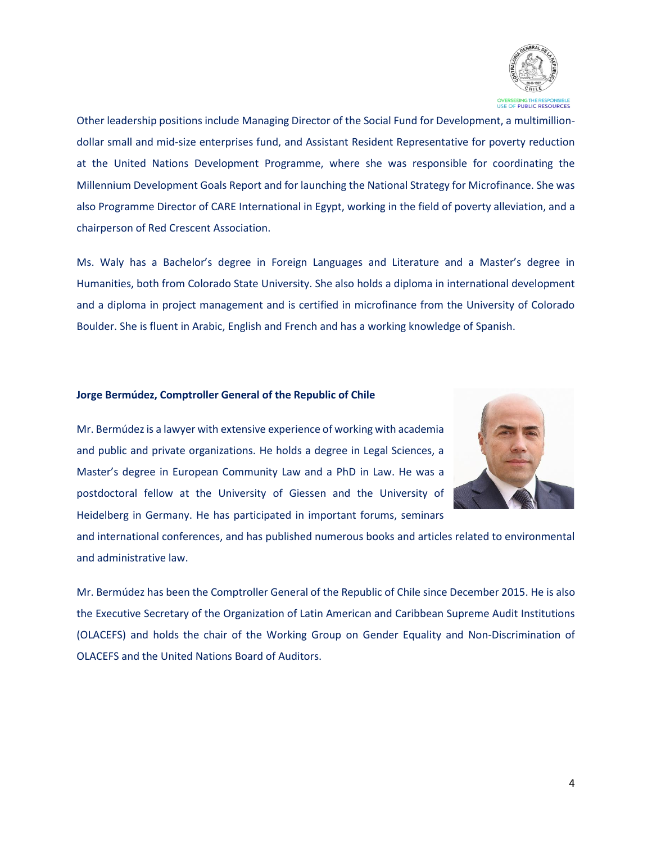

Other leadership positions include Managing Director of the Social Fund for Development, a multimilliondollar small and mid-size enterprises fund, and Assistant Resident Representative for poverty reduction at the United Nations Development Programme, where she was responsible for coordinating the Millennium Development Goals Report and for launching the National Strategy for Microfinance. She was also Programme Director of CARE International in Egypt, working in the field of poverty alleviation, and a chairperson of Red Crescent Association.

Ms. Waly has a Bachelor's degree in Foreign Languages and Literature and a Master's degree in Humanities, both from Colorado State University. She also holds a diploma in international development and a diploma in project management and is certified in microfinance from the University of Colorado Boulder. She is fluent in Arabic, English and French and has a working knowledge of Spanish.

#### **Jorge Bermúdez, Comptroller General of the Republic of Chile**



Mr. Bermúdez is a lawyer with extensive experience of working with academia and public and private organizations. He holds a degree in Legal Sciences, a Master's degree in European Community Law and a PhD in Law. He was a postdoctoral fellow at the University of Giessen and the University of Heidelberg in Germany. He has participated in important forums, seminars

and international conferences, and has published numerous books and articles related to environmental and administrative law.

Mr. Bermúdez has been the Comptroller General of the Republic of Chile since December 2015. He is also the Executive Secretary of the Organization of Latin American and Caribbean Supreme Audit Institutions (OLACEFS) and holds the chair of the Working Group on Gender Equality and Non-Discrimination of OLACEFS and the United Nations Board of Auditors.